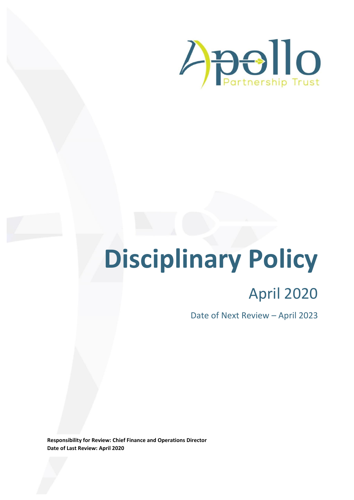

# **Disciplinary Policy**

# April 2020

Date of Next Review – April 2023

**Responsibility for Review: Chief Finance and Operations Director Date of Last Review: April 2020**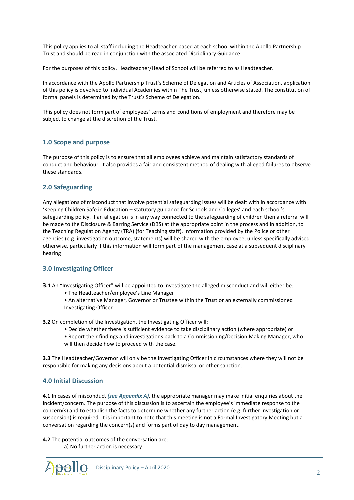This policy applies to all staff including the Headteacher based at each school within the Apollo Partnership Trust and should be read in conjunction with the associated Disciplinary Guidance.

For the purposes of this policy, Headteacher/Head of School will be referred to as Headteacher.

In accordance with the Apollo Partnership Trust's Scheme of Delegation and Articles of Association, application of this policy is devolved to individual Academies within The Trust, unless otherwise stated. The constitution of formal panels is determined by the Trust's Scheme of Delegation.

This policy does not form part of employees' terms and conditions of employment and therefore may be subject to change at the discretion of the Trust.

#### **1.0 Scope and purpose**

The purpose of this policy is to ensure that all employees achieve and maintain satisfactory standards of conduct and behaviour. It also provides a fair and consistent method of dealing with alleged failures to observe these standards.

#### **2.0 Safeguarding**

Any allegations of misconduct that involve potential safeguarding issues will be dealt with in accordance with 'Keeping Children Safe in Education – statutory guidance for Schools and Colleges' and each school's safeguarding policy. If an allegation is in any way connected to the safeguarding of children then a referral will be made to the Disclosure & Barring Service (DBS) at the appropriate point in the process and in addition, to the Teaching Regulation Agency (TRA) (for Teaching staff). Information provided by the Police or other agencies (e.g. investigation outcome, statements) will be shared with the employee, unless specifically advised otherwise, particularly if this information will form part of the management case at a subsequent disciplinary hearing

#### **3.0 Investigating Officer**

**3.1** An "Investigating Officer" will be appointed to investigate the alleged misconduct and will either be:

- The Headteacher/employee's Line Manager
- An alternative Manager, Governor or Trustee within the Trust or an externally commissioned Investigating Officer
- **3.2** On completion of the Investigation, the Investigating Officer will:
	- Decide whether there is sufficient evidence to take disciplinary action (where appropriate) or
	- Report their findings and investigations back to a Commissioning/Decision Making Manager, who will then decide how to proceed with the case.

**3.3** The Headteacher/Governor will only be the Investigating Officer in circumstances where they will not be responsible for making any decisions about a potential dismissal or other sanction.

#### **4.0 Initial Discussion**

**4.1** In cases of misconduct *(see Appendix A)*, the appropriate manager may make initial enquiries about the incident/concern. The purpose of this discussion is to ascertain the employee's immediate response to the concern(s) and to establish the facts to determine whether any further action (e.g. further investigation or suspension) is required. It is important to note that this meeting is not a Formal Investigatory Meeting but a conversation regarding the concern(s) and forms part of day to day management.

**4.2** The potential outcomes of the conversation are:

a) No further action is necessary

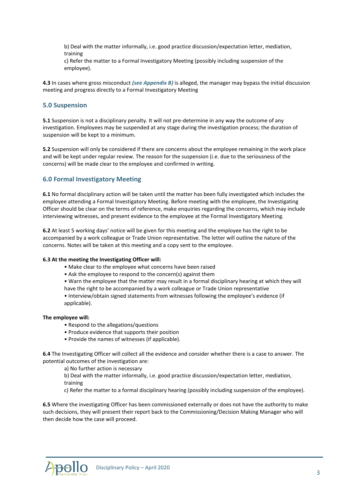b) Deal with the matter informally, i.e. good practice discussion/expectation letter, mediation, training

c) Refer the matter to a Formal Investigatory Meeting (possibly including suspension of the employee).

**4.3** In cases where gross misconduct *(see Appendix B)* is alleged, the manager may bypass the initial discussion meeting and progress directly to a Formal Investigatory Meeting

#### **5.0 Suspension**

**5.1** Suspension is not a disciplinary penalty. It will not pre-determine in any way the outcome of any investigation. Employees may be suspended at any stage during the investigation process; the duration of suspension will be kept to a minimum.

**5.2** Suspension will only be considered if there are concerns about the employee remaining in the work place and will be kept under regular review. The reason for the suspension (i.e. due to the seriousness of the concerns) will be made clear to the employee and confirmed in writing.

#### **6.0 Formal Investigatory Meeting**

**6.1** No formal disciplinary action will be taken until the matter has been fully investigated which includes the employee attending a Formal Investigatory Meeting. Before meeting with the employee, the Investigating Officer should be clear on the terms of reference, make enquiries regarding the concerns, which may include interviewing witnesses, and present evidence to the employee at the Formal Investigatory Meeting.

**6.2** At least 5 working days' notice will be given for this meeting and the employee has the right to be accompanied by a work colleague or Trade Union representative. The letter will outline the nature of the concerns. Notes will be taken at this meeting and a copy sent to the employee.

#### **6.3 At the meeting the Investigating Officer will:**

- Make clear to the employee what concerns have been raised
- Ask the employee to respond to the concern(s) against them

• Warn the employee that the matter may result in a formal disciplinary hearing at which they will

have the right to be accompanied by a work colleague or Trade Union representative

• Interview/obtain signed statements from witnesses following the employee's evidence (if applicable).

#### **The employee will:**

- Respond to the allegations/questions
- Produce evidence that supports their position
- Provide the names of witnesses (if applicable).

**6.4** The Investigating Officer will collect all the evidence and consider whether there is a case to answer. The potential outcomes of the investigation are:

a) No further action is necessary

b) Deal with the matter informally, i.e. good practice discussion/expectation letter, mediation, training

c) Refer the matter to a formal disciplinary hearing (possibly including suspension of the employee).

**6.5** Where the investigating Officer has been commissioned externally or does not have the authority to make such decisions, they will present their report back to the Commissioning/Decision Making Manager who will then decide how the case will proceed.

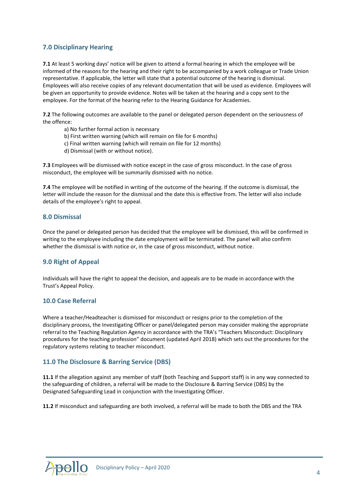#### **7.0 Disciplinary Hearing**

**7.1** At least 5 working days' notice will be given to attend a formal hearing in which the employee will be informed of the reasons for the hearing and their right to be accompanied by a work colleague or Trade Union representative. If applicable, the letter will state that a potential outcome of the hearing is dismissal. Employees will also receive copies of any relevant documentation that will be used as evidence. Employees will be given an opportunity to provide evidence. Notes will be taken at the hearing and a copy sent to the employee. For the format of the hearing refer to the Hearing Guidance for Academies.

**7.2** The following outcomes are available to the panel or delegated person dependent on the seriousness of the offence:

- a) No further formal action is necessary
- b) First written warning (which will remain on file for 6 months)
- c) Final written warning (which will remain on file for 12 months)
- d) Dismissal (with or without notice).

**7.3** Employees will be dismissed with notice except in the case of gross misconduct. In the case of gross misconduct, the employee will be summarily dismissed with no notice.

**7.4** The employee will be notified in writing of the outcome of the hearing. If the outcome is dismissal, the letter will include the reason for the dismissal and the date this is effective from. The letter will also include details of the employee's right to appeal.

#### **8.0 Dismissal**

Once the panel or delegated person has decided that the employee will be dismissed, this will be confirmed in writing to the employee including the date employment will be terminated. The panel will also confirm whether the dismissal is with notice or, in the case of gross misconduct, without notice.

#### **9.0 Right of Appeal**

Individuals will have the right to appeal the decision, and appeals are to be made in accordance with the Trust's Appeal Policy.

#### **10.0 Case Referral**

Where a teacher/Headteacher is dismissed for misconduct or resigns prior to the completion of the disciplinary process, the Investigating Officer or panel/delegated person may consider making the appropriate referral to the Teaching Regulation Agency in accordance with the TRA's "Teachers Misconduct: Disciplinary procedures for the teaching profession" document (updated April 2018) which sets out the procedures for the regulatory systems relating to teacher misconduct.

#### **11.0 The Disclosure & Barring Service (DBS)**

**11.1** If the allegation against any member of staff (both Teaching and Support staff) is in any way connected to the safeguarding of children, a referral will be made to the Disclosure & Barring Service (DBS) by the Designated Safeguarding Lead in conjunction with the Investigating Officer.

**11.2** If misconduct and safeguarding are both involved, a referral will be made to both the DBS and the TRA

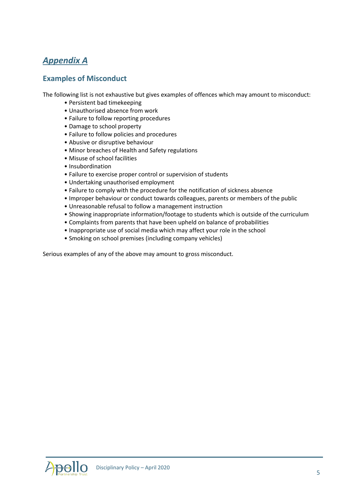### *Appendix A*

#### **Examples of Misconduct**

The following list is not exhaustive but gives examples of offences which may amount to misconduct:

- Persistent bad timekeeping
- Unauthorised absence from work
- Failure to follow reporting procedures
- Damage to school property
- Failure to follow policies and procedures
- Abusive or disruptive behaviour
- Minor breaches of Health and Safety regulations
- Misuse of school facilities
- Insubordination
- Failure to exercise proper control or supervision of students
- Undertaking unauthorised employment
- Failure to comply with the procedure for the notification of sickness absence
- Improper behaviour or conduct towards colleagues, parents or members of the public
- Unreasonable refusal to follow a management instruction
- Showing inappropriate information/footage to students which is outside of the curriculum
- Complaints from parents that have been upheld on balance of probabilities
- Inappropriate use of social media which may affect your role in the school
- Smoking on school premises (including company vehicles)

Serious examples of any of the above may amount to gross misconduct.